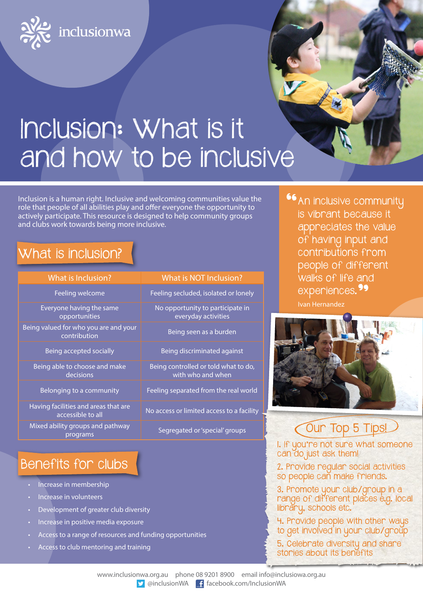

# Inclusion: What is it and how to be inclusive

Inclusion is a human right. Inclusive and welcoming communities value the role that people of all abilities play and offer everyone the opportunity to actively participate. This resource is designed to help community groups and clubs work towards being more inclusive.

### What is inclusion?

| What is Inclusion?                                        | What is NOT Inclusion?                                    |
|-----------------------------------------------------------|-----------------------------------------------------------|
| Feeling welcome                                           | Feeling secluded, isolated or lonely                      |
| Everyone having the same<br>opportunities                 | No opportunity to participate in<br>everyday activities   |
| Being valued for who you are and your<br>contribution     | Being seen as a burden                                    |
| Being accepted socially                                   | Being discriminated against                               |
| Being able to choose and make<br>decisions                | Being controlled or told what to do,<br>with who and when |
| Belonging to a community                                  | Feeling separated from the real world                     |
| Having facilities and areas that are<br>accessible to all | No access or limited access to a facility                 |
| Mixed ability groups and pathway<br>programs              | Segregated or 'special' groups                            |
|                                                           |                                                           |

## Benefits for clubs

- Increase in membership
- Increase in volunteers
- Development of greater club diversity
- Increase in positive media exposure
- Access to a range of resources and funding opportunities
- Access to club mentoring and training

**66** An inclusive community is vibrant because it appreciates the value of having input and contributions from people of different walks of life and experiences.<sup>99</sup> Ivan Hernandez



## Cour Top 5 Tips!

1. If you're not sure what someone can do just ask them!

2. Provide regular social activities so people can make friends.

3. Promote your club/group in a range of different places e.g. local library, schools etc.

4. Provide people with other ways to get involved in your club/group

5. Celebrate diversity and share stories about its benefits

www.inclusionwa.org.au phone 08 9201 8900 email info@inclusiowa.org.au v @inclusionWA facebook.com/InclusionWA